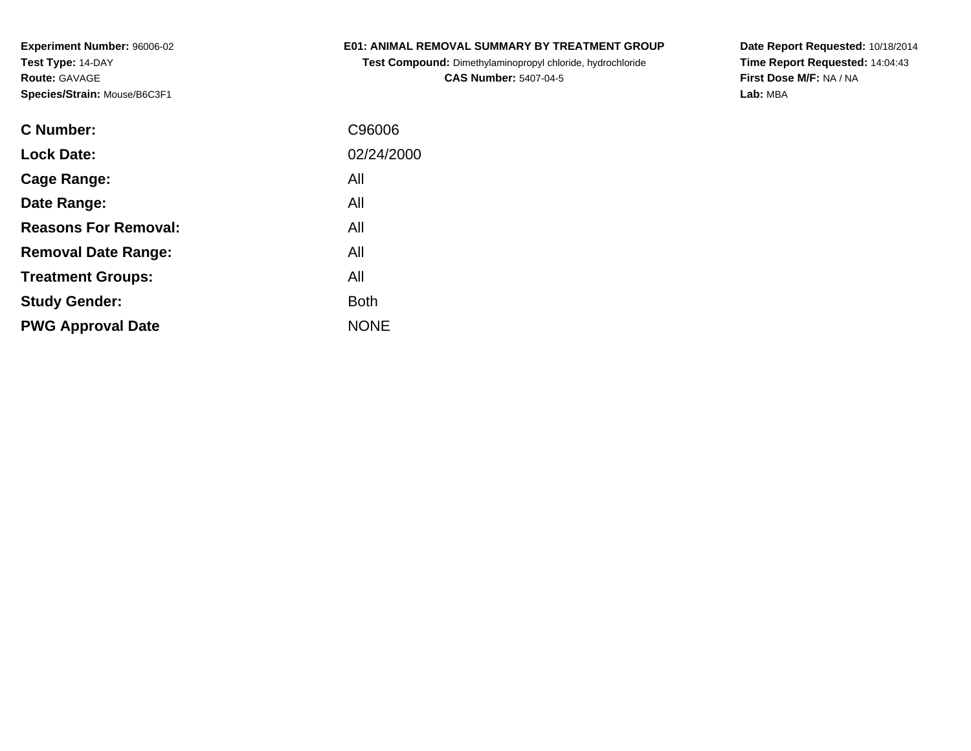### **E01: ANIMAL REMOVAL SUMMARY BY TREATMENT GROUP**

**Test Compound:** Dimethylaminopropyl chloride, hydrochloride**CAS Number:** 5407-04-5

**Date Report Requested:** 10/18/2014 **Time Report Requested:** 14:04:43**First Dose M/F:** NA / NA**Lab:** MBA

| <b>C</b> Number:            | C96006      |
|-----------------------------|-------------|
| <b>Lock Date:</b>           | 02/24/2000  |
| Cage Range:                 | All         |
| Date Range:                 | All         |
| <b>Reasons For Removal:</b> | All         |
| <b>Removal Date Range:</b>  | All         |
| <b>Treatment Groups:</b>    | All         |
| <b>Study Gender:</b>        | <b>Both</b> |
| <b>PWG Approval Date</b>    | <b>NONE</b> |
|                             |             |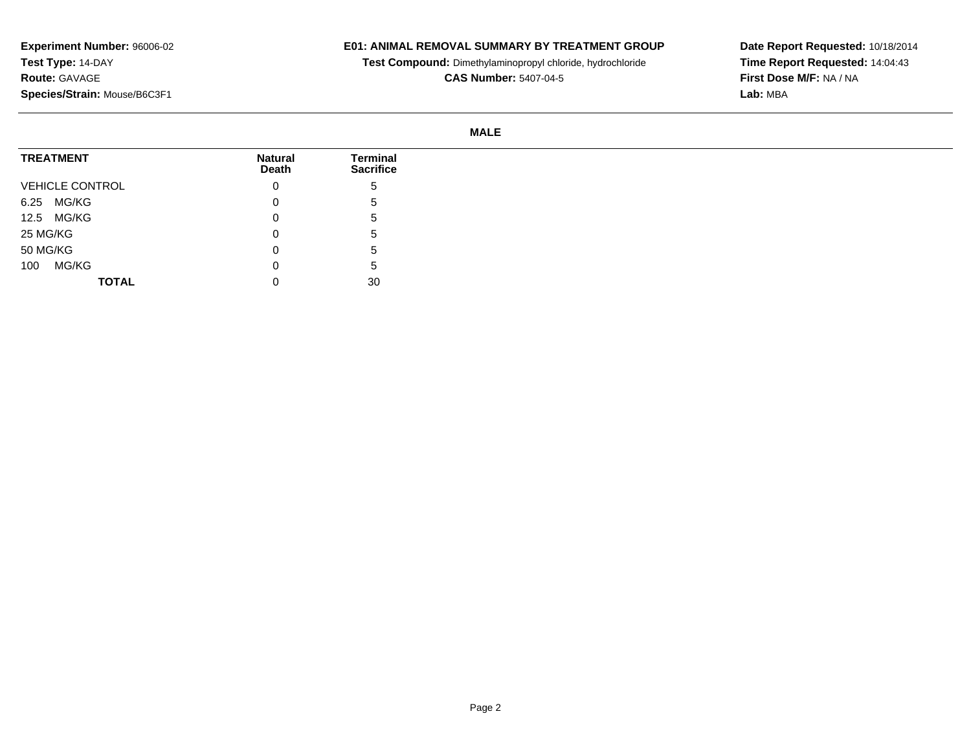## **E01: ANIMAL REMOVAL SUMMARY BY TREATMENT GROUP**

**Test Compound:** Dimethylaminopropyl chloride, hydrochloride

**CAS Number:** 5407-04-5

**Date Report Requested:** 10/18/2014 **Time Report Requested:** 14:04:43**First Dose M/F:** NA / NA**Lab:** MBA

#### **MALE**

| <b>TREATMENT</b>       | <b>Natural</b><br>Death | <b>Terminal</b><br><b>Sacrifice</b> |
|------------------------|-------------------------|-------------------------------------|
| <b>VEHICLE CONTROL</b> | 0                       | 5                                   |
| 6.25 MG/KG             | 0                       | 5                                   |
| 12.5 MG/KG             | 0                       | $\mathbf{p}$                        |
| 25 MG/KG               | 0                       | '5                                  |
| 50 MG/KG               | 0                       | '5                                  |
| MG/KG<br>100           | 0                       | G                                   |
| <b>TOTAL</b>           |                         | 30                                  |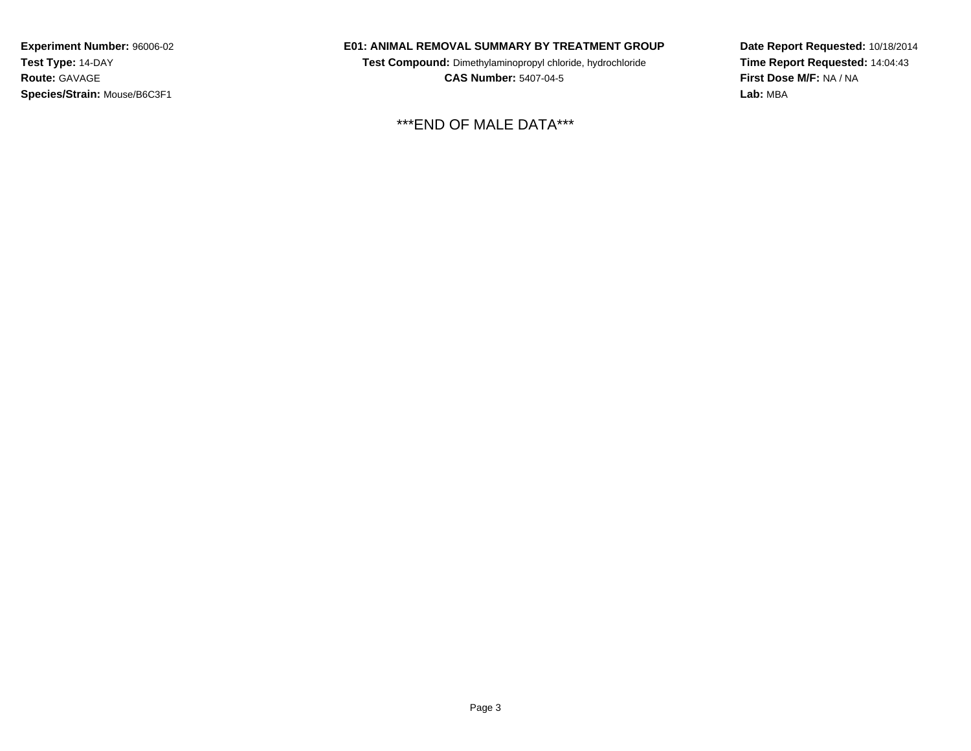#### **E01: ANIMAL REMOVAL SUMMARY BY TREATMENT GROUP**

**Test Compound:** Dimethylaminopropyl chloride, hydrochloride**CAS Number:** 5407-04-5

\*\*\*END OF MALE DATA\*\*\*

**Date Report Requested:** 10/18/2014**Time Report Requested:** 14:04:43**First Dose M/F:** NA / NA**Lab:** MBA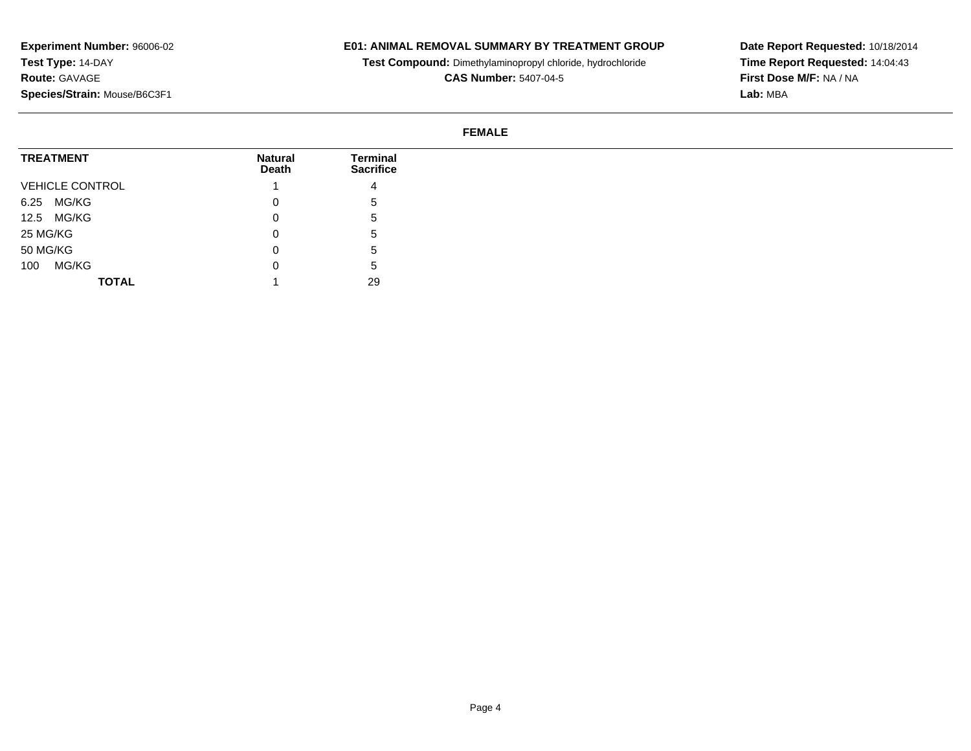## **E01: ANIMAL REMOVAL SUMMARY BY TREATMENT GROUP**

**Test Compound:** Dimethylaminopropyl chloride, hydrochloride

**CAS Number:** 5407-04-5

**Date Report Requested:** 10/18/2014 **Time Report Requested:** 14:04:43**First Dose M/F:** NA / NA**Lab:** MBA

### **FEMALE**

| <b>TREATMENT</b>       | <b>Natural</b><br>Death | <b>Terminal</b><br><b>Sacrifice</b> |
|------------------------|-------------------------|-------------------------------------|
| <b>VEHICLE CONTROL</b> |                         | 4                                   |
| MG/KG<br>6.25          | v                       | <sub>5</sub>                        |
| 12.5 MG/KG             | U                       | C.                                  |
| 25 MG/KG               | U                       | <sub>5</sub>                        |
| 50 MG/KG               | U                       | <sub>5</sub>                        |
| MG/KG<br>100           | U                       | <sub>5</sub>                        |
| <b>TOTAL</b>           |                         | 29                                  |